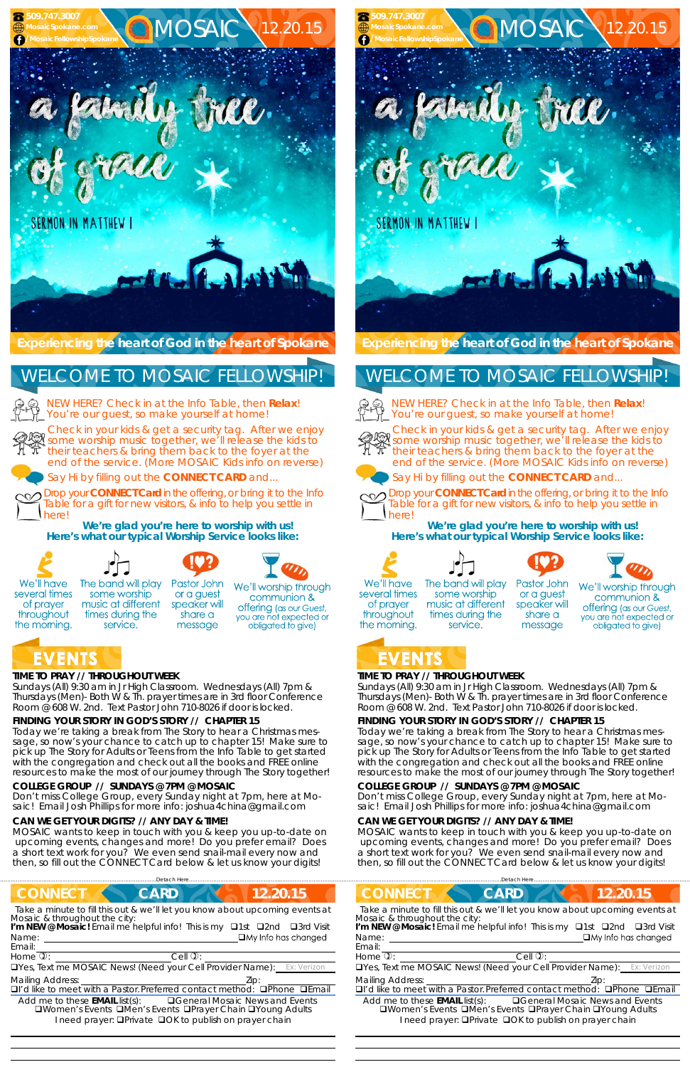## **TIME TO PRAY // THROUGHOUT WEEK**

*Sundays* (All) 9:30 am in Jr High Classroom. *Wednesdays* (All) 7pm & *Thursdays* (Men)- Both W & Th. prayer times are in 3rd floor Conference Room @ 608 W. 2nd. Text Pastor John 710-8026 if door is locked.

### **FINDING YOUR STORY IN GOD'S STORY // CHAPTER 15**

Today we're taking a break from The Story to hear a Christmas message, so now's your chance to catch up to chapter 15! Make sure to pick up The Story for Adults or Teens from the Info Table to get started with the congregation and check out all the books and FREE online resources to make the most of our journey through The Story together!

We'll have several times of prayer throughout the morning.

The band will play some worship music at different times during the service.







## EVENTS

#### **COLLEGE GROUP // SUNDAYS @ 7PM @ MOSAIC**

Don't miss College Group, every Sunday night at 7pm, here at Mosaic! Email Josh Phillips for more info: joshua4china@gmail.com

#### **CAN WE GET YOUR DIGITS? // ANY DAY & TIME!**

MOSAIC wants to keep in touch with you & keep you up-to-date on upcoming events, changes and more! Do you prefer email? Does a short text work for you? We even send snail-mail every now and then, so fill out the CONNECT Card below & let us know your digits!

Say Hi by filling out the **CONNECT CARD** and...

Drop your **CONNECT Card** in the offering, or bring it to the Info Table for a gift for new visitors, & info to help you settle in



here!

The band will play some worship music at different times during the service.

Pastor John or a guest speaker will share a message

**We're glad you're here to worship with us!** 

**Here's what our typical Worship Service looks like:** 

We'll worship through communion & **offering** (as our Guest, you are not expected or obligated to give)

# EVENTS

Drop your **CONNECT Card** in the offering, or bring it to the Info Table for a gift for new visitors, & info to help you settle in herel

 

## **TIME TO PRAY // THROUGHOUT WEEK**

*Sundays* (All) 9:30 am in Jr High Classroom. *Wednesdays* (All) 7pm & *Thursdays* (Men)- Both W & Th. prayer times are in 3rd floor Conference Room @ 608 W. 2nd. Text Pastor John 710-8026 if door is locked.

## **FINDING YOUR STORY IN GOD'S STORY // CHAPTER 15**

Today we're taking a break from The Story to hear a Christmas message, so now's your chance to catch up to chapter 15! Make sure to pick up The Story for Adults or Teens from the Info Table to get started with the congregation and check out all the books and FREE online resources to make the most of our journey through The Story together!

![](_page_0_Picture_39.jpeg)

| <b>CONNECT</b><br>12.20.15<br><b>CARD</b>                                                                                                                                                                                                                                                                                                    | <b>CONNECT</b><br><b>CARD</b><br>12.20.15                                                                                                                                                                                                                                                                                     |
|----------------------------------------------------------------------------------------------------------------------------------------------------------------------------------------------------------------------------------------------------------------------------------------------------------------------------------------------|-------------------------------------------------------------------------------------------------------------------------------------------------------------------------------------------------------------------------------------------------------------------------------------------------------------------------------|
| Take a minute to fill this out & we'll let you know about upcoming events at<br>Mosaic & throughout the city:<br>I'm NEW @ Mosaic! Email me helpful info! This is my <b>Q1st</b><br>□3rd Visit<br>$\square$ 2nd<br>$\Box$ My Info has changed<br>Name:<br>Email:                                                                             | Take a minute to fill this out & we'll let you know about upcoming events at<br>Mosaic & throughout the city:<br>I'm NEW @ Mosaic! Email me helpful info! This is my<br>$\Box$ 3rd Visit<br>$\Box$ 1st<br>$\square$ 2nd<br>$\Box$ My Info has changed<br>Name:<br>Email:                                                      |
| Home $\overline{v}$ :<br>Cell $\mathbb{Q}$ :                                                                                                                                                                                                                                                                                                 | Home $\overline{v}$ :<br>Cell $\mathbb{Q}$ :                                                                                                                                                                                                                                                                                  |
| <b>OYes, Text me MOSAIC News! (Need your Cell Provider Name):</b> Ex: Verizon                                                                                                                                                                                                                                                                | <b>Only estable in the MOSAIC News! (Need your Cell Provider Name):</b><br>Ex: Verizon                                                                                                                                                                                                                                        |
| <b>Mailing Address:</b><br><b>Q</b> I'd like to meet with a Pastor. Preferred contact method:<br>$D$ Phone $D$ Email<br><b>QGeneral Mosaic News and Events</b><br>Add me to these <b>EMAIL</b> list(s):<br><b>QWomen's Events QMen's Events QPrayer Chain QYoung Adults</b><br>I need prayer: <b>QPrivate QOK to publish on prayer chain</b> | <b>Mailing Address:</b><br>DI'd like to meet with a Pastor. Preferred contact method:<br>$D$ Phone<br>□Fmail<br><b>QGeneral Mosaic News and Events</b><br>Add me to these <b>EMAIL</b> list(s):<br>□Women's Events □Men's Events □Prayer Chain □Young Adults<br>I need prayer: <b>QPrivate QOK to publish on prayer chain</b> |

#### **COLLEGE GROUP // SUNDAYS @ 7PM @ MOSAIC**

Don't miss College Group, every Sunday night at 7pm, here at Mosaic! Email Josh Phillips for more info: joshua4china@gmail.com

#### **CAN WE GET YOUR DIGITS? // ANY DAY & TIME!**

MOSAIC wants to keep in touch with you & keep you up-to-date on upcoming events, changes and more! Do you prefer email? Does a short text work for you? We even send snail-mail every now and then, so fill out the CONNECT Card below & let us know your digits!

#### **Experiencing the heart of God in the heart of Spokane**

NEW HERE? Check in at the Info Table, then **Relax**! You're our guest, so make yourself at home!

![](_page_0_Picture_6.jpeg)

Check in your kids & get a security tag. After we enjoy some worship music together, we'll release the kids to their teachers & bring them back to the foyer at the end of the service. (More MOSAIC Kids info on reverse)

![](_page_0_Picture_8.jpeg)

Say Hi by filling out the **CONNECT CARD** and...

![](_page_0_Picture_10.jpeg)

**We're glad you're here to worship with us! Here's what our typical Worship Service looks like:** 

![](_page_0_Picture_13.jpeg)

![](_page_0_Picture_14.jpeg)

![](_page_0_Picture_15.jpeg)

![](_page_0_Picture_16.jpeg)

12.20.15

We'll worship through communion & **offering** (as our Guest, you are not expected or obligated to give)

We'll have several times of prayer throughout the morning.

 **509.747.3007 MosaicSpokane.com**

![](_page_0_Picture_1.jpeg)

## WELCOME TO MOSAIC FELLOWSHIP!

![](_page_0_Picture_4.jpeg)